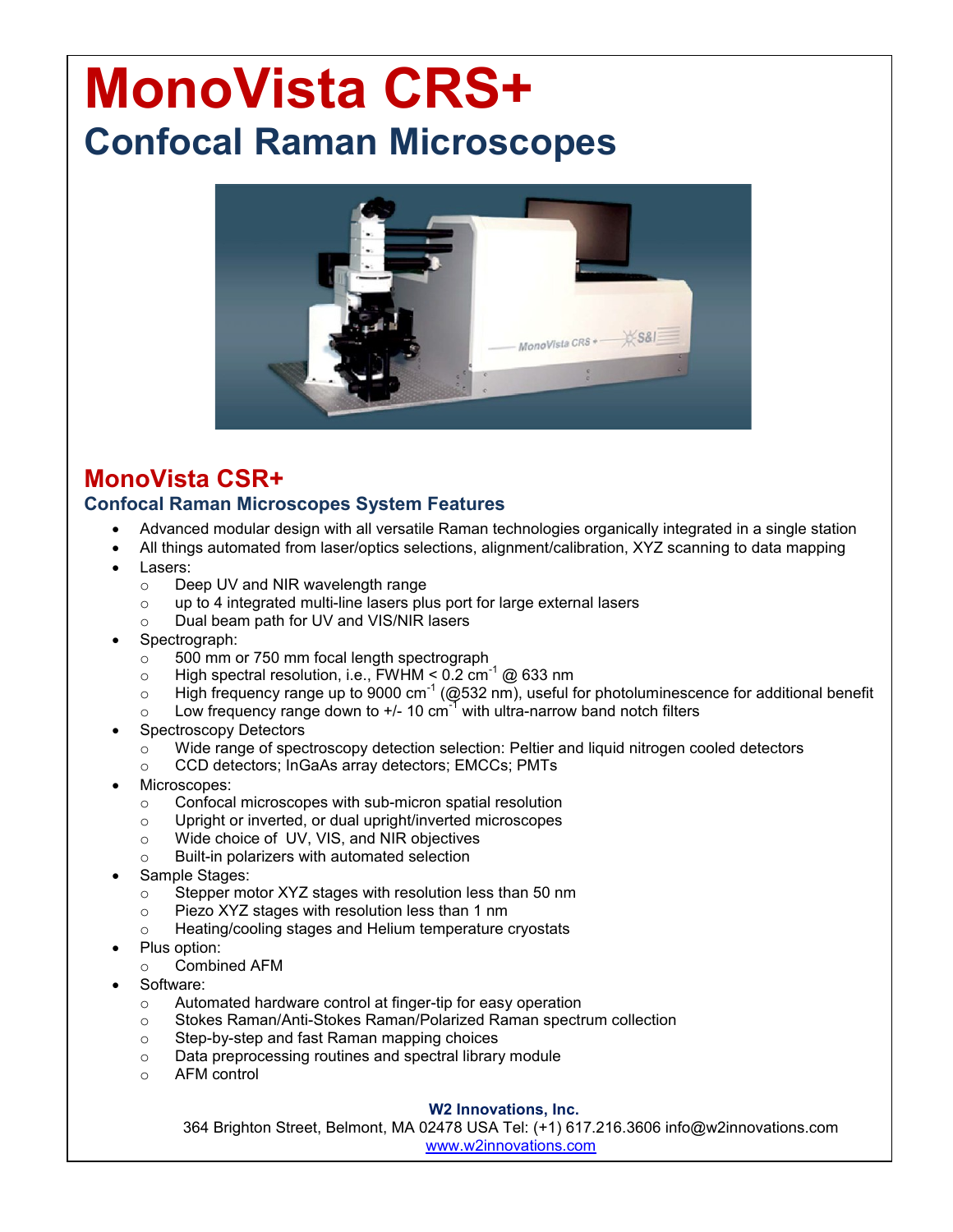# **MonoVista CRS+ Confocal Raman Microscopes**



# **MonoVista CSR+ Confocal Raman Microscopes System Features**

- Advanced modular design with all versatile Raman technologies organically integrated in a single station
- All things automated from laser/optics selections, alignment/calibration, XYZ scanning to data mapping
- Lasers:
	- o Deep UV and NIR wavelength range
	- $\circ$  up to 4 integrated multi-line lasers plus port for large external lasers
	- o Dual beam path for UV and VIS/NIR lasers
- Spectrograph:
	- o 500 mm or 750 mm focal length spectrograph
	- o High spectral resolution, i.e., FWHM  $\leq$  0.2 cm<sup>-1</sup> @ 633 nm
	- $\circ$  High frequency range up to 9000 cm<sup>-1</sup> (@532 nm), useful for photoluminescence for additional benefit
	- $\circ$  Low frequency range down to +/- 10 cm<sup>-1</sup> with ultra-narrow band notch filters
- Spectroscopy Detectors
	- $\circ$  Wide range of spectroscopy detection selection: Peltier and liquid nitrogen cooled detectors
	- o CCD detectors; InGaAs array detectors; EMCCs; PMTs
- Microscopes:
	- o Confocal microscopes with sub-micron spatial resolution
	- o Upright or inverted, or dual upright/inverted microscopes
	- o Wide choice of UV, VIS, and NIR objectives
	- o Built-in polarizers with automated selection
- Sample Stages:
	- o Stepper motor XYZ stages with resolution less than 50 nm
	- o Piezo XYZ stages with resolution less than 1 nm
	- o Heating/cooling stages and Helium temperature cryostats
- Plus option:
	- o Combined AFM
- Software:
	- o Automated hardware control at finger-tip for easy operation
	- o Stokes Raman/Anti-Stokes Raman/Polarized Raman spectrum collection
	- o Step-by-step and fast Raman mapping choices
	- o Data preprocessing routines and spectral library module
	- o AFM control

### **W2 Innovations, Inc.**

364 Brighton Street, Belmont, MA 02478 USA Tel: (+1) 617.216.3606 info@w2innovations.com www.w2innovations.com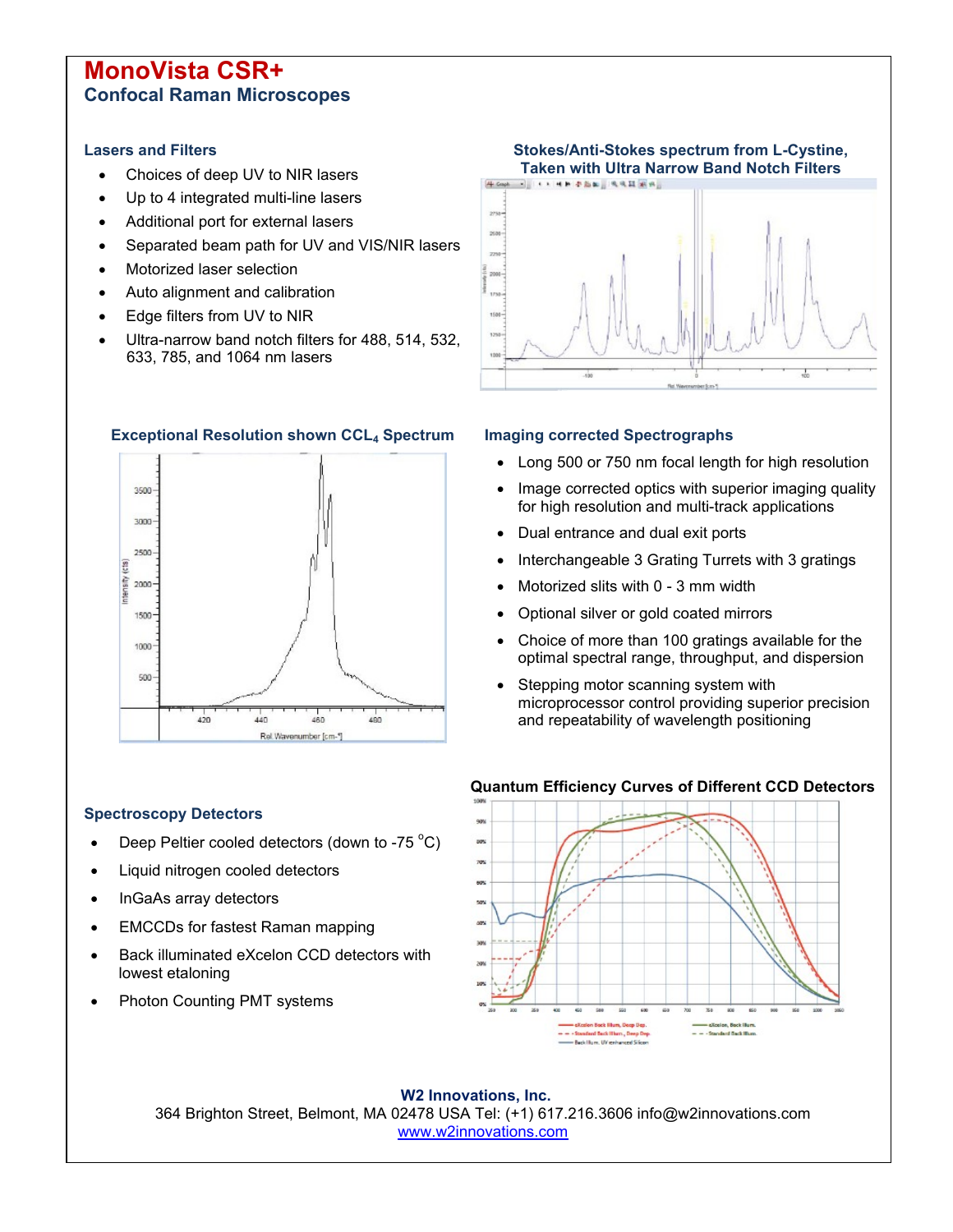# **MonoVista CSR+ Confocal Raman Microscopes**

### **Lasers and Filters**

- Choices of deep UV to NIR lasers
- Up to 4 integrated multi-line lasers
- Additional port for external lasers
- Separated beam path for UV and VIS/NIR lasers
- Motorized laser selection
- Auto alignment and calibration
- Edge filters from UV to NIR
- Ultra-narrow band notch filters for 488, 514, 532, 633, 785, and 1064 nm lasers



### **Exceptional Resolution shown CCL<sup>4</sup> Spectrum Imaging corrected Spectrographs**



- Long 500 or 750 nm focal length for high resolution
- Image corrected optics with superior imaging quality for high resolution and multi-track applications
- Dual entrance and dual exit ports
- Interchangeable 3 Grating Turrets with 3 gratings
- Motorized slits with 0 3 mm width
- Optional silver or gold coated mirrors
- Choice of more than 100 gratings available for the optimal spectral range, throughput, and dispersion
- Stepping motor scanning system with microprocessor control providing superior precision and repeatability of wavelength positioning

### **Spectroscopy Detectors**

- Deep Peltier cooled detectors (down to -75  $^{\circ}$ C)
- Liquid nitrogen cooled detectors
- InGaAs array detectors
- EMCCDs for fastest Raman mapping
- Back illuminated eXcelon CCD detectors with lowest etaloning
- Photon Counting PMT systems

### **Quantum Efficiency Curves of Different CCD Detectors**



**W2 Innovations, Inc.** 364 Brighton Street, Belmont, MA 02478 USA Tel: (+1) 617.216.3606 info@w2innovations.com www.w2innovations.com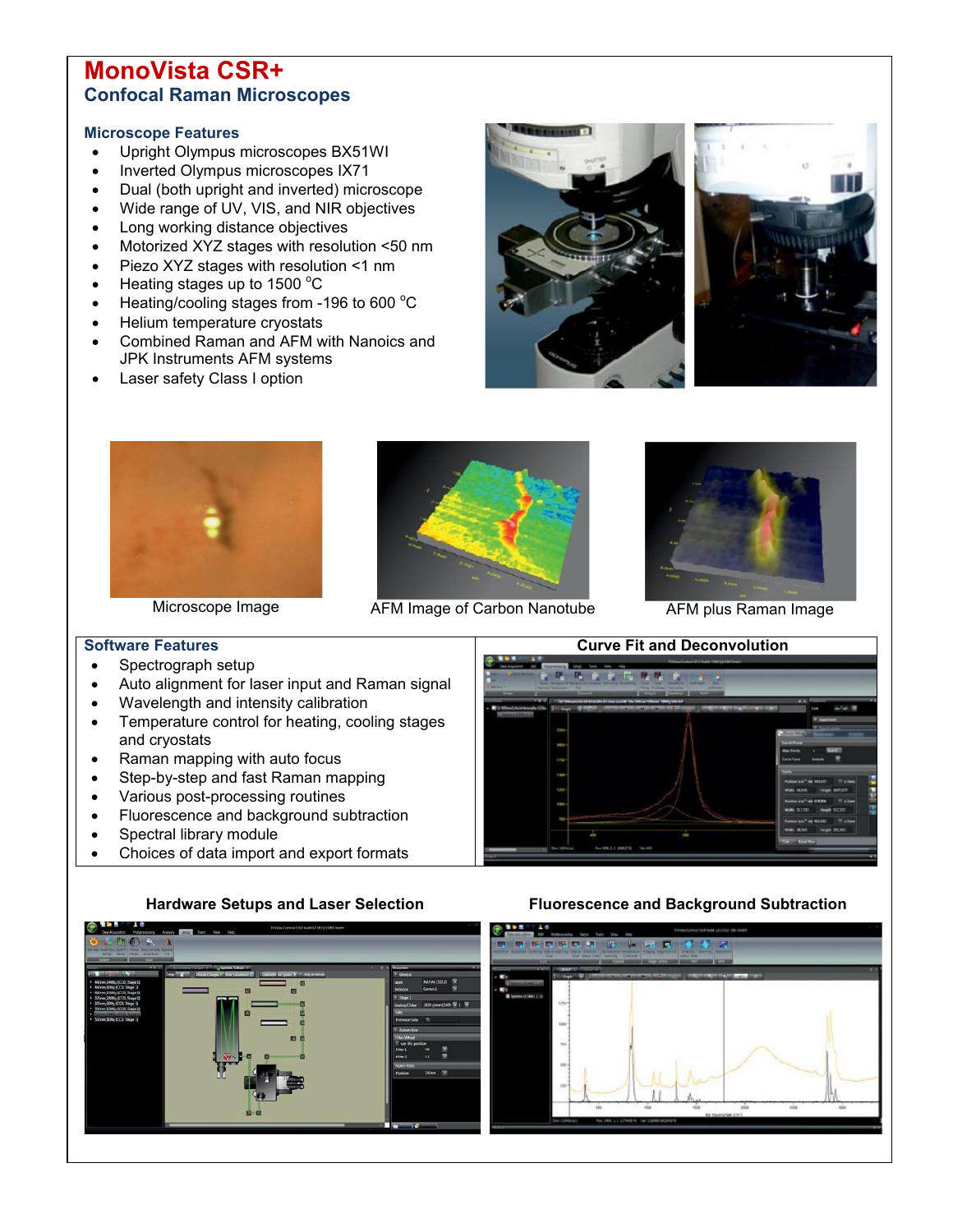# **MonoVista CSR+ Confocal Raman Microscopes**

### **Microscope Features**

- Upright Olympus microscopes BX51WI
- Inverted Olympus microscopes IX71
- Dual (both upright and inverted) microscope
- Wide range of UV, VIS, and NIR objectives
- Long working distance objectives
- Motorized XYZ stages with resolution <50 nm
- Piezo XYZ stages with resolution <1 nm
- $\bullet$  Heating stages up to 1500 °C
- $\bullet$  Heating/cooling stages from -196 to 600 °C
- Helium temperature cryostats
- Combined Raman and AFM with Nanoics and JPK Instruments AFM systems
- Laser safety Class I option









Microscope Image Microscope Image AFM Image of Carbon Nanotube AFM plus Raman Image



### **Software Features**

- Spectrograph setup
- Auto alignment for laser input and Raman signal
- Wavelength and intensity calibration
- Temperature control for heating, cooling stages and cryostats
- Raman mapping with auto focus
- Step-by-step and fast Raman mapping
- Various post-processing routines
- Fluorescence and background subtraction
- Spectral library module
- Choices of data import and export formats